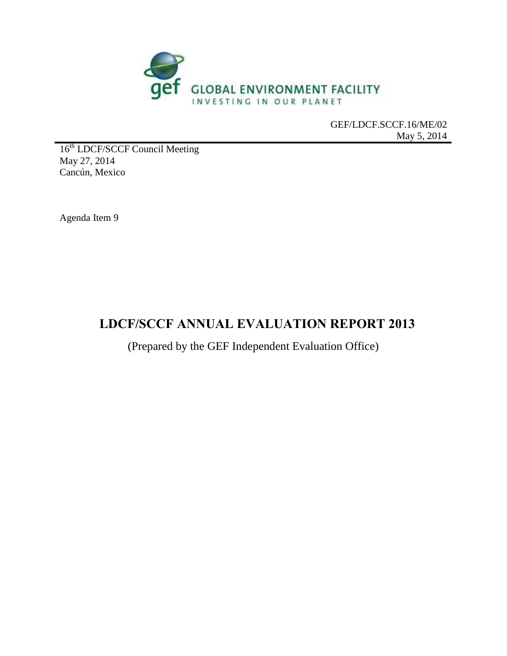

GEF/LDCF.SCCF.16/ME/02 May 5, 2014

16<sup>th</sup> LDCF/SCCF Council Meeting May 27, 2014 Cancún, Mexico

Agenda Item 9

# **LDCF/SCCF ANNUAL EVALUATION REPORT 2013**

(Prepared by the GEF Independent Evaluation Office)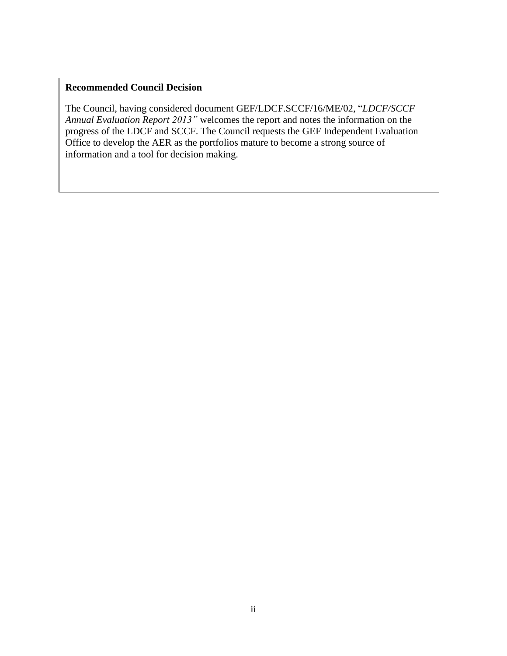#### **Recommended Council Decision**

The Council, having considered document GEF/LDCF.SCCF/16/ME/02, "*LDCF/SCCF Annual Evaluation Report 2013"* welcomes the report and notes the information on the progress of the LDCF and SCCF. The Council requests the GEF Independent Evaluation Office to develop the AER as the portfolios mature to become a strong source of information and a tool for decision making.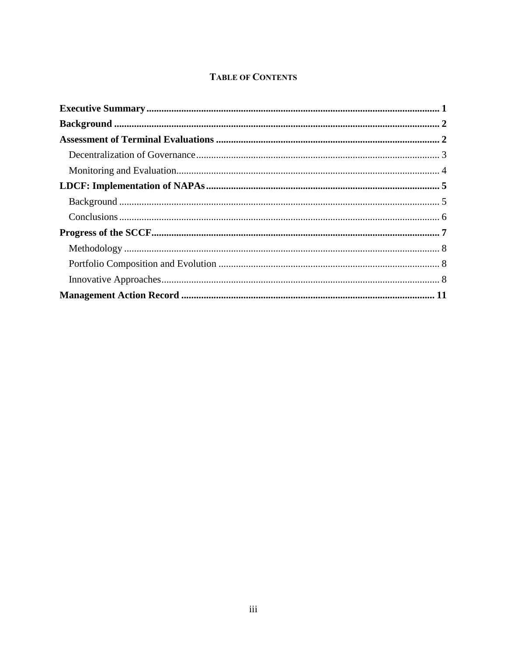## **TABLE OF CONTENTS**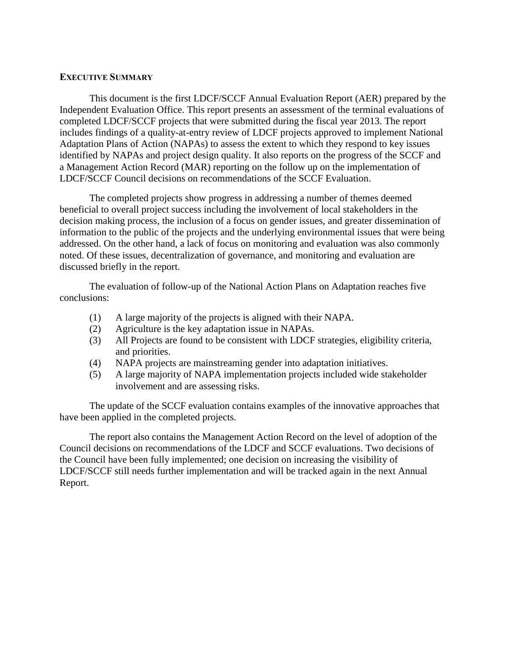#### <span id="page-3-0"></span>**EXECUTIVE SUMMARY**

This document is the first LDCF/SCCF Annual Evaluation Report (AER) prepared by the Independent Evaluation Office. This report presents an assessment of the terminal evaluations of completed LDCF/SCCF projects that were submitted during the fiscal year 2013. The report includes findings of a quality-at-entry review of LDCF projects approved to implement National Adaptation Plans of Action (NAPAs) to assess the extent to which they respond to key issues identified by NAPAs and project design quality. It also reports on the progress of the SCCF and a Management Action Record (MAR) reporting on the follow up on the implementation of LDCF/SCCF Council decisions on recommendations of the SCCF Evaluation.

The completed projects show progress in addressing a number of themes deemed beneficial to overall project success including the involvement of local stakeholders in the decision making process, the inclusion of a focus on gender issues, and greater dissemination of information to the public of the projects and the underlying environmental issues that were being addressed. On the other hand, a lack of focus on monitoring and evaluation was also commonly noted. Of these issues, decentralization of governance, and monitoring and evaluation are discussed briefly in the report.

The evaluation of follow-up of the National Action Plans on Adaptation reaches five conclusions:

- (1) A large majority of the projects is aligned with their NAPA.
- (2) Agriculture is the key adaptation issue in NAPAs.
- (3) All Projects are found to be consistent with LDCF strategies, eligibility criteria, and priorities.
- (4) NAPA projects are mainstreaming gender into adaptation initiatives.
- (5) A large majority of NAPA implementation projects included wide stakeholder involvement and are assessing risks.

The update of the SCCF evaluation contains examples of the innovative approaches that have been applied in the completed projects.

<span id="page-3-1"></span>The report also contains the Management Action Record on the level of adoption of the Council decisions on recommendations of the LDCF and SCCF evaluations. Two decisions of the Council have been fully implemented; one decision on increasing the visibility of LDCF/SCCF still needs further implementation and will be tracked again in the next Annual Report.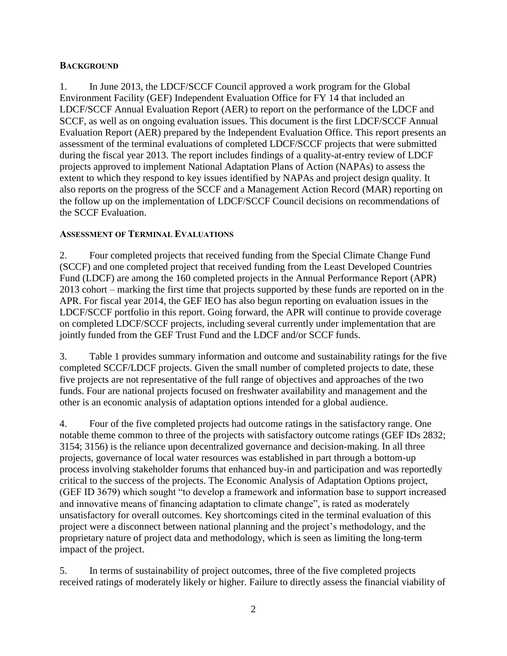#### **BACKGROUND**

1. In June 2013, the LDCF/SCCF Council approved a work program for the Global Environment Facility (GEF) Independent Evaluation Office for FY 14 that included an LDCF/SCCF Annual Evaluation Report (AER) to report on the performance of the LDCF and SCCF, as well as on ongoing evaluation issues. This document is the first LDCF/SCCF Annual Evaluation Report (AER) prepared by the Independent Evaluation Office. This report presents an assessment of the terminal evaluations of completed LDCF/SCCF projects that were submitted during the fiscal year 2013. The report includes findings of a quality-at-entry review of LDCF projects approved to implement National Adaptation Plans of Action (NAPAs) to assess the extent to which they respond to key issues identified by NAPAs and project design quality. It also reports on the progress of the SCCF and a Management Action Record (MAR) reporting on the follow up on the implementation of LDCF/SCCF Council decisions on recommendations of the SCCF Evaluation.

#### <span id="page-4-0"></span>**ASSESSMENT OF TERMINAL EVALUATIONS**

2. Four completed projects that received funding from the Special Climate Change Fund (SCCF) and one completed project that received funding from the Least Developed Countries Fund (LDCF) are among the 160 completed projects in the Annual Performance Report (APR) 2013 cohort – marking the first time that projects supported by these funds are reported on in the APR. For fiscal year 2014, the GEF IEO has also begun reporting on evaluation issues in the LDCF/SCCF portfolio in this report. Going forward, the APR will continue to provide coverage on completed LDCF/SCCF projects, including several currently under implementation that are jointly funded from the GEF Trust Fund and the LDCF and/or SCCF funds.

3. Table 1 provides summary information and outcome and sustainability ratings for the five completed SCCF/LDCF projects. Given the small number of completed projects to date, these five projects are not representative of the full range of objectives and approaches of the two funds. Four are national projects focused on freshwater availability and management and the other is an economic analysis of adaptation options intended for a global audience.

4. Four of the five completed projects had outcome ratings in the satisfactory range. One notable theme common to three of the projects with satisfactory outcome ratings (GEF IDs 2832; 3154; 3156) is the reliance upon decentralized governance and decision-making. In all three projects, governance of local water resources was established in part through a bottom-up process involving stakeholder forums that enhanced buy-in and participation and was reportedly critical to the success of the projects. The Economic Analysis of Adaptation Options project, (GEF ID 3679) which sought "to develop a framework and information base to support increased and innovative means of financing adaptation to climate change", is rated as moderately unsatisfactory for overall outcomes. Key shortcomings cited in the terminal evaluation of this project were a disconnect between national planning and the project's methodology, and the proprietary nature of project data and methodology, which is seen as limiting the long-term impact of the project.

5. In terms of sustainability of project outcomes, three of the five completed projects received ratings of moderately likely or higher. Failure to directly assess the financial viability of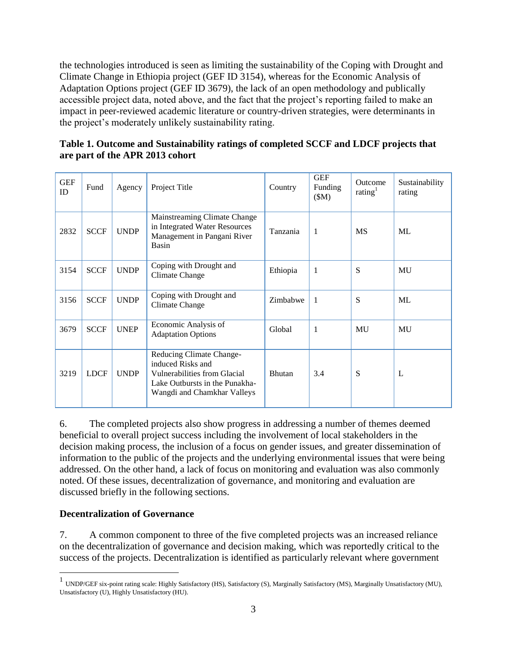the technologies introduced is seen as limiting the sustainability of the Coping with Drought and Climate Change in Ethiopia project (GEF ID 3154), whereas for the Economic Analysis of Adaptation Options project (GEF ID 3679), the lack of an open methodology and publically accessible project data, noted above, and the fact that the project's reporting failed to make an impact in peer-reviewed academic literature or country-driven strategies, were determinants in the project's moderately unlikely sustainability rating.

| <b>GEF</b><br>ID | Fund        | Agency      | Project Title                                                                                                                                  | Country       | <b>GEF</b><br>Funding<br>(SM) | Outcome<br>rating $1$ | Sustainability<br>rating |
|------------------|-------------|-------------|------------------------------------------------------------------------------------------------------------------------------------------------|---------------|-------------------------------|-----------------------|--------------------------|
| 2832             | <b>SCCF</b> | <b>UNDP</b> | Mainstreaming Climate Change<br>in Integrated Water Resources<br>Management in Pangani River<br>Basin                                          | Tanzania      | 1                             | <b>MS</b>             | ML                       |
| 3154             | <b>SCCF</b> | <b>UNDP</b> | Coping with Drought and<br>Climate Change                                                                                                      | Ethiopia      | 1                             | S                     | MU                       |
| 3156             | <b>SCCF</b> | <b>UNDP</b> | Coping with Drought and<br><b>Climate Change</b>                                                                                               | Zimbabwe      | 1                             | S                     | ML                       |
| 3679             | <b>SCCF</b> | <b>UNEP</b> | Economic Analysis of<br><b>Adaptation Options</b>                                                                                              | Global        | $\mathbf{1}$                  | MU                    | MU                       |
| 3219             | <b>LDCF</b> | <b>UNDP</b> | Reducing Climate Change-<br>induced Risks and<br>Vulnerabilities from Glacial<br>Lake Outbursts in the Punakha-<br>Wangdi and Chamkhar Valleys | <b>Bhutan</b> | 3.4                           | S                     | L                        |

**Table 1. Outcome and Sustainability ratings of completed SCCF and LDCF projects that are part of the APR 2013 cohort**

6. The completed projects also show progress in addressing a number of themes deemed beneficial to overall project success including the involvement of local stakeholders in the decision making process, the inclusion of a focus on gender issues, and greater dissemination of information to the public of the projects and the underlying environmental issues that were being addressed. On the other hand, a lack of focus on monitoring and evaluation was also commonly noted. Of these issues, decentralization of governance, and monitoring and evaluation are discussed briefly in the following sections.

### <span id="page-5-0"></span>**Decentralization of Governance**

7. A common component to three of the five completed projects was an increased reliance on the decentralization of governance and decision making, which was reportedly critical to the success of the projects. Decentralization is identified as particularly relevant where government

 1 UNDP/GEF six-point rating scale: Highly Satisfactory (HS), Satisfactory (S), Marginally Satisfactory (MS), Marginally Unsatisfactory (MU), Unsatisfactory (U), Highly Unsatisfactory (HU).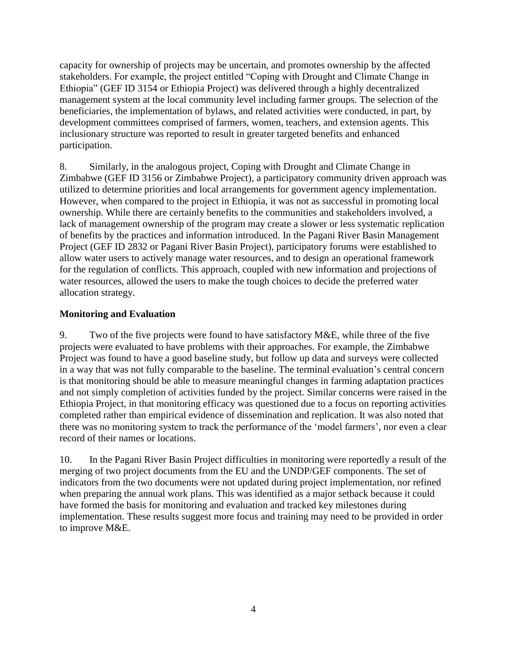capacity for ownership of projects may be uncertain, and promotes ownership by the affected stakeholders. For example, the project entitled "Coping with Drought and Climate Change in Ethiopia" (GEF ID 3154 or Ethiopia Project) was delivered through a highly decentralized management system at the local community level including farmer groups. The selection of the beneficiaries, the implementation of bylaws, and related activities were conducted, in part, by development committees comprised of farmers, women, teachers, and extension agents. This inclusionary structure was reported to result in greater targeted benefits and enhanced participation.

8. Similarly, in the analogous project, Coping with Drought and Climate Change in Zimbabwe (GEF ID 3156 or Zimbabwe Project), a participatory community driven approach was utilized to determine priorities and local arrangements for government agency implementation. However, when compared to the project in Ethiopia, it was not as successful in promoting local ownership. While there are certainly benefits to the communities and stakeholders involved, a lack of management ownership of the program may create a slower or less systematic replication of benefits by the practices and information introduced. In the Pagani River Basin Management Project (GEF ID 2832 or Pagani River Basin Project), participatory forums were established to allow water users to actively manage water resources, and to design an operational framework for the regulation of conflicts. This approach, coupled with new information and projections of water resources, allowed the users to make the tough choices to decide the preferred water allocation strategy.

### <span id="page-6-0"></span>**Monitoring and Evaluation**

9. Two of the five projects were found to have satisfactory M&E, while three of the five projects were evaluated to have problems with their approaches. For example, the Zimbabwe Project was found to have a good baseline study, but follow up data and surveys were collected in a way that was not fully comparable to the baseline. The terminal evaluation's central concern is that monitoring should be able to measure meaningful changes in farming adaptation practices and not simply completion of activities funded by the project. Similar concerns were raised in the Ethiopia Project, in that monitoring efficacy was questioned due to a focus on reporting activities completed rather than empirical evidence of dissemination and replication. It was also noted that there was no monitoring system to track the performance of the 'model farmers', nor even a clear record of their names or locations.

10. In the Pagani River Basin Project difficulties in monitoring were reportedly a result of the merging of two project documents from the EU and the UNDP/GEF components. The set of indicators from the two documents were not updated during project implementation, nor refined when preparing the annual work plans. This was identified as a major setback because it could have formed the basis for monitoring and evaluation and tracked key milestones during implementation. These results suggest more focus and training may need to be provided in order to improve M&E.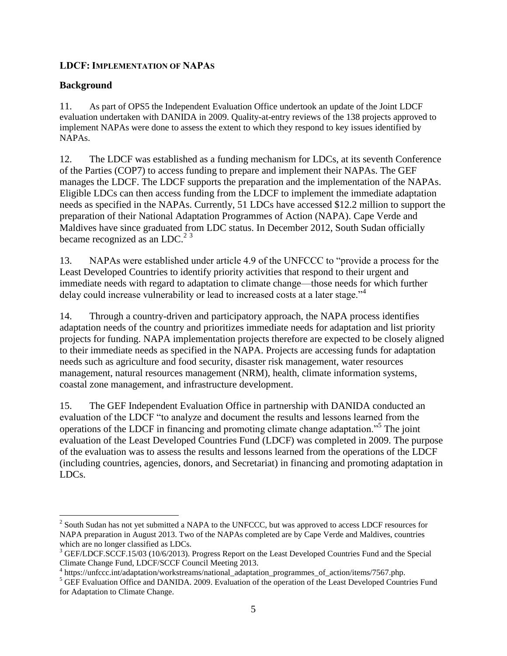### <span id="page-7-0"></span>**LDCF: IMPLEMENTATION OF NAPAS**

#### <span id="page-7-1"></span>**Background**

 $\overline{a}$ 

11. As part of OPS5 the Independent Evaluation Office undertook an update of the Joint LDCF evaluation undertaken with DANIDA in 2009. Quality-at-entry reviews of the 138 projects approved to implement NAPAs were done to assess the extent to which they respond to key issues identified by NAPAs.

12. The LDCF was established as a funding mechanism for LDCs, at its seventh Conference of the Parties (COP7) to access funding to prepare and implement their NAPAs. The GEF manages the LDCF. The LDCF supports the preparation and the implementation of the NAPAs. Eligible LDCs can then access funding from the LDCF to implement the immediate adaptation needs as specified in the NAPAs. Currently, 51 LDCs have accessed \$12.2 million to support the preparation of their National Adaptation Programmes of Action (NAPA). Cape Verde and Maldives have since graduated from LDC status. In December 2012, South Sudan officially became recognized as an LDC.<sup>2 3</sup>

13. NAPAs were established under article 4.9 of the UNFCCC to "provide a process for the Least Developed Countries to identify priority activities that respond to their urgent and immediate needs with regard to adaptation to climate change—those needs for which further delay could increase vulnerability or lead to increased costs at a later stage.<sup>"4</sup>

14. Through a country-driven and participatory approach, the NAPA process identifies adaptation needs of the country and prioritizes immediate needs for adaptation and list priority projects for funding. NAPA implementation projects therefore are expected to be closely aligned to their immediate needs as specified in the NAPA. Projects are accessing funds for adaptation needs such as agriculture and food security, disaster risk management, water resources management, natural resources management (NRM), health, climate information systems, coastal zone management, and infrastructure development.

15. The GEF Independent Evaluation Office in partnership with DANIDA conducted an evaluation of the LDCF "to analyze and document the results and lessons learned from the operations of the LDCF in financing and promoting climate change adaptation."<sup>5</sup> The joint evaluation of the Least Developed Countries Fund (LDCF) was completed in 2009. The purpose of the evaluation was to assess the results and lessons learned from the operations of the LDCF (including countries, agencies, donors, and Secretariat) in financing and promoting adaptation in LDCs.

 $2^{2}$  South Sudan has not yet submitted a NAPA to the UNFCCC, but was approved to access LDCF resources for NAPA preparation in August 2013. Two of the NAPAs completed are by Cape Verde and Maldives, countries which are no longer classified as LDCs.

<sup>&</sup>lt;sup>3</sup> GEF/LDCF.SCCF.15/03 (10/6/2013). Progress Report on the Least Developed Countries Fund and the Special Climate Change Fund, LDCF/SCCF Council Meeting 2013.

<sup>4</sup> https://unfccc.int/adaptation/workstreams/national\_adaptation\_programmes\_of\_action/items/7567.php.

<sup>&</sup>lt;sup>5</sup> GEF Evaluation Office and DANIDA. 2009. Evaluation of the operation of the Least Developed Countries Fund for Adaptation to Climate Change.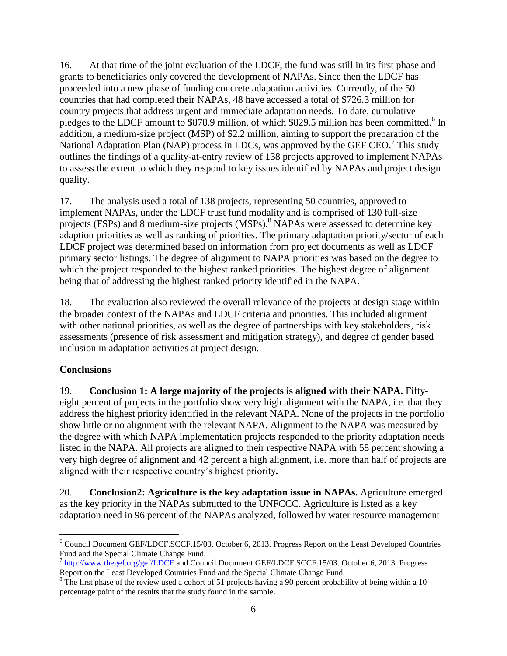16. At that time of the joint evaluation of the LDCF, the fund was still in its first phase and grants to beneficiaries only covered the development of NAPAs. Since then the LDCF has proceeded into a new phase of funding concrete adaptation activities. Currently, of the 50 countries that had completed their NAPAs, 48 have accessed a total of \$726.3 million for country projects that address urgent and immediate adaptation needs. To date, cumulative pledges to the LDCF amount to \$878.9 million, of which \$829.5 million has been committed.<sup>6</sup> In addition, a medium-size project (MSP) of \$2.2 million, aiming to support the preparation of the National Adaptation Plan (NAP) process in LDCs, was approved by the GEF CEO.<sup>7</sup> This study outlines the findings of a quality-at-entry review of 138 projects approved to implement NAPAs to assess the extent to which they respond to key issues identified by NAPAs and project design quality.

17. The analysis used a total of 138 projects, representing 50 countries, approved to implement NAPAs, under the LDCF trust fund modality and is comprised of 130 full-size projects (FSPs) and 8 medium-size projects (MSPs).<sup>8</sup> NAPAs were assessed to determine key adaption priorities as well as ranking of priorities. The primary adaptation priority/sector of each LDCF project was determined based on information from project documents as well as LDCF primary sector listings. The degree of alignment to NAPA priorities was based on the degree to which the project responded to the highest ranked priorities. The highest degree of alignment being that of addressing the highest ranked priority identified in the NAPA.

18. The evaluation also reviewed the overall relevance of the projects at design stage within the broader context of the NAPAs and LDCF criteria and priorities. This included alignment with other national priorities, as well as the degree of partnerships with key stakeholders, risk assessments (presence of risk assessment and mitigation strategy), and degree of gender based inclusion in adaptation activities at project design.

### <span id="page-8-0"></span>**Conclusions**

19. **Conclusion 1: A large majority of the projects is aligned with their NAPA.** Fiftyeight percent of projects in the portfolio show very high alignment with the NAPA, i.e. that they address the highest priority identified in the relevant NAPA. None of the projects in the portfolio show little or no alignment with the relevant NAPA. Alignment to the NAPA was measured by the degree with which NAPA implementation projects responded to the priority adaptation needs listed in the NAPA. All projects are aligned to their respective NAPA with 58 percent showing a very high degree of alignment and 42 percent a high alignment, i.e. more than half of projects are aligned with their respective country's highest priority*.*

20. **Conclusion2: Agriculture is the key adaptation issue in NAPAs.** Agriculture emerged as the key priority in the NAPAs submitted to the UNFCCC. Agriculture is listed as a key adaptation need in 96 percent of the NAPAs analyzed, followed by water resource management

 $\overline{a}$ <sup>6</sup> Council Document GEF/LDCF.SCCF.15/03. October 6, 2013. Progress Report on the Least Developed Countries Fund and the Special Climate Change Fund.

<sup>&</sup>lt;sup>7</sup> <http://www.thegef.org/gef/LDCF> and Council Document GEF/LDCF.SCCF.15/03. October 6, 2013. Progress Report on the Least Developed Countries Fund and the Special Climate Change Fund.

<sup>&</sup>lt;sup>8</sup> The first phase of the review used a cohort of 51 projects having a 90 percent probability of being within a 10 percentage point of the results that the study found in the sample.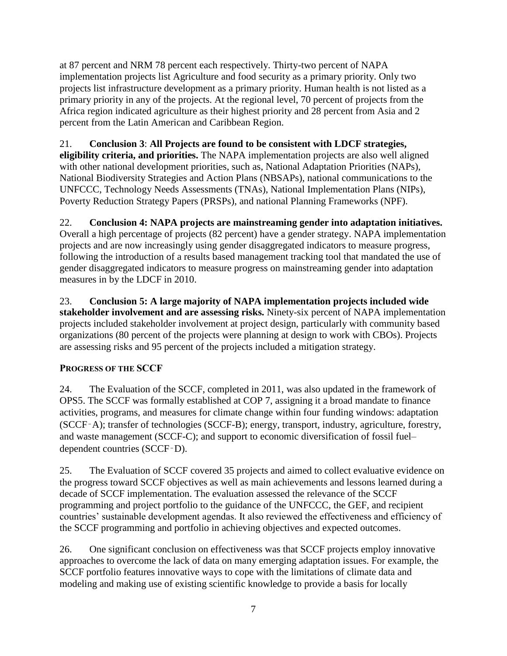at 87 percent and NRM 78 percent each respectively. Thirty-two percent of NAPA implementation projects list Agriculture and food security as a primary priority. Only two projects list infrastructure development as a primary priority. Human health is not listed as a primary priority in any of the projects. At the regional level, 70 percent of projects from the Africa region indicated agriculture as their highest priority and 28 percent from Asia and 2 percent from the Latin American and Caribbean Region.

21. **Conclusion 3**: **All Projects are found to be consistent with LDCF strategies, eligibility criteria, and priorities.** The NAPA implementation projects are also well aligned with other national development priorities, such as, National Adaptation Priorities (NAPs), National Biodiversity Strategies and Action Plans (NBSAPs), national communications to the UNFCCC, Technology Needs Assessments (TNAs), National Implementation Plans (NIPs), Poverty Reduction Strategy Papers (PRSPs), and national Planning Frameworks (NPF).

# 22. **Conclusion 4: NAPA projects are mainstreaming gender into adaptation initiatives.**

Overall a high percentage of projects (82 percent) have a gender strategy. NAPA implementation projects and are now increasingly using gender disaggregated indicators to measure progress, following the introduction of a results based management tracking tool that mandated the use of gender disaggregated indicators to measure progress on mainstreaming gender into adaptation measures in by the LDCF in 2010.

23. **Conclusion 5: A large majority of NAPA implementation projects included wide stakeholder involvement and are assessing risks.** Ninety-six percent of NAPA implementation projects included stakeholder involvement at project design, particularly with community based organizations (80 percent of the projects were planning at design to work with CBOs). Projects are assessing risks and 95 percent of the projects included a mitigation strategy.

## <span id="page-9-0"></span>**PROGRESS OF THE SCCF**

24. The Evaluation of the SCCF, completed in 2011, was also updated in the framework of OPS5. The SCCF was formally established at COP 7, assigning it a broad mandate to finance activities, programs, and measures for climate change within four funding windows: adaptation (SCCF‑A); transfer of technologies (SCCF-B); energy, transport, industry, agriculture, forestry, and waste management (SCCF-C); and support to economic diversification of fossil fuel– dependent countries (SCCF‑D).

25. The Evaluation of SCCF covered 35 projects and aimed to collect evaluative evidence on the progress toward SCCF objectives as well as main achievements and lessons learned during a decade of SCCF implementation. The evaluation assessed the relevance of the SCCF programming and project portfolio to the guidance of the UNFCCC, the GEF, and recipient countries' sustainable development agendas. It also reviewed the effectiveness and efficiency of the SCCF programming and portfolio in achieving objectives and expected outcomes.

26. One significant conclusion on effectiveness was that SCCF projects employ innovative approaches to overcome the lack of data on many emerging adaptation issues. For example, the SCCF portfolio features innovative ways to cope with the limitations of climate data and modeling and making use of existing scientific knowledge to provide a basis for locally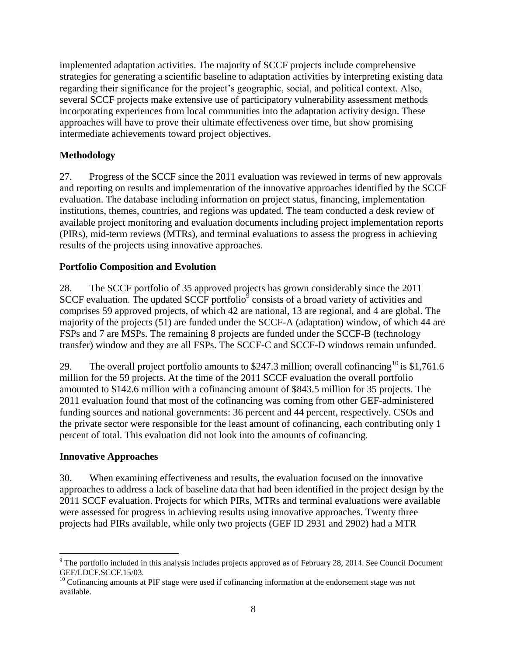implemented adaptation activities. The majority of SCCF projects include comprehensive strategies for generating a scientific baseline to adaptation activities by interpreting existing data regarding their significance for the project's geographic, social, and political context. Also, several SCCF projects make extensive use of participatory vulnerability assessment methods incorporating experiences from local communities into the adaptation activity design. These approaches will have to prove their ultimate effectiveness over time, but show promising intermediate achievements toward project objectives.

## <span id="page-10-0"></span>**Methodology**

27. Progress of the SCCF since the 2011 evaluation was reviewed in terms of new approvals and reporting on results and implementation of the innovative approaches identified by the SCCF evaluation. The database including information on project status, financing, implementation institutions, themes, countries, and regions was updated. The team conducted a desk review of available project monitoring and evaluation documents including project implementation reports (PIRs), mid-term reviews (MTRs), and terminal evaluations to assess the progress in achieving results of the projects using innovative approaches.

### <span id="page-10-1"></span>**Portfolio Composition and Evolution**

28. The SCCF portfolio of 35 approved projects has grown considerably since the 2011 SCCF evaluation. The updated SCCF portfolio<sup>9</sup> consists of a broad variety of activities and comprises 59 approved projects, of which 42 are national, 13 are regional, and 4 are global. The majority of the projects (51) are funded under the SCCF-A (adaptation) window, of which 44 are FSPs and 7 are MSPs. The remaining 8 projects are funded under the SCCF-B (technology transfer) window and they are all FSPs. The SCCF-C and SCCF-D windows remain unfunded.

29. The overall project portfolio amounts to \$247.3 million; overall cofinancing <sup>10</sup> is \$1,761.6 million for the 59 projects. At the time of the 2011 SCCF evaluation the overall portfolio amounted to \$142.6 million with a cofinancing amount of \$843.5 million for 35 projects. The 2011 evaluation found that most of the cofinancing was coming from other GEF-administered funding sources and national governments: 36 percent and 44 percent, respectively. CSOs and the private sector were responsible for the least amount of cofinancing, each contributing only 1 percent of total. This evaluation did not look into the amounts of cofinancing.

### <span id="page-10-2"></span>**Innovative Approaches**

 $\overline{a}$ 

30. When examining effectiveness and results, the evaluation focused on the innovative approaches to address a lack of baseline data that had been identified in the project design by the 2011 SCCF evaluation. Projects for which PIRs, MTRs and terminal evaluations were available were assessed for progress in achieving results using innovative approaches. Twenty three projects had PIRs available, while only two projects (GEF ID 2931 and 2902) had a MTR

<sup>&</sup>lt;sup>9</sup> The portfolio included in this analysis includes projects approved as of February 28, 2014. See Council Document GEF/LDCF.SCCF.15/03.

 $10$  Cofinancing amounts at PIF stage were used if cofinancing information at the endorsement stage was not available.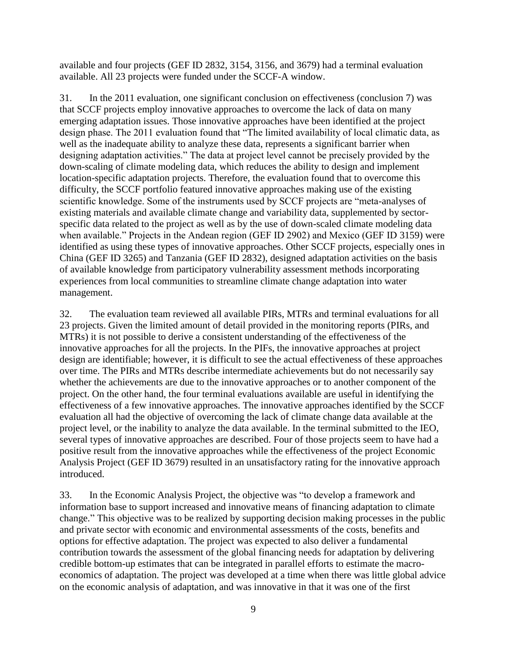available and four projects (GEF ID 2832, 3154, 3156, and 3679) had a terminal evaluation available. All 23 projects were funded under the SCCF-A window.

31. In the 2011 evaluation, one significant conclusion on effectiveness (conclusion 7) was that SCCF projects employ innovative approaches to overcome the lack of data on many emerging adaptation issues. Those innovative approaches have been identified at the project design phase. The 2011 evaluation found that "The limited availability of local climatic data, as well as the inadequate ability to analyze these data, represents a significant barrier when designing adaptation activities." The data at project level cannot be precisely provided by the down-scaling of climate modeling data, which reduces the ability to design and implement location-specific adaptation projects. Therefore, the evaluation found that to overcome this difficulty, the SCCF portfolio featured innovative approaches making use of the existing scientific knowledge. Some of the instruments used by SCCF projects are "meta-analyses of existing materials and available climate change and variability data, supplemented by sectorspecific data related to the project as well as by the use of down-scaled climate modeling data when available." Projects in the Andean region (GEF ID 2902) and Mexico (GEF ID 3159) were identified as using these types of innovative approaches. Other SCCF projects, especially ones in China (GEF ID 3265) and Tanzania (GEF ID 2832), designed adaptation activities on the basis of available knowledge from participatory vulnerability assessment methods incorporating experiences from local communities to streamline climate change adaptation into water management.

32. The evaluation team reviewed all available PIRs, MTRs and terminal evaluations for all 23 projects. Given the limited amount of detail provided in the monitoring reports (PIRs, and MTRs) it is not possible to derive a consistent understanding of the effectiveness of the innovative approaches for all the projects. In the PIFs, the innovative approaches at project design are identifiable; however, it is difficult to see the actual effectiveness of these approaches over time. The PIRs and MTRs describe intermediate achievements but do not necessarily say whether the achievements are due to the innovative approaches or to another component of the project. On the other hand, the four terminal evaluations available are useful in identifying the effectiveness of a few innovative approaches. The innovative approaches identified by the SCCF evaluation all had the objective of overcoming the lack of climate change data available at the project level, or the inability to analyze the data available. In the terminal submitted to the IEO, several types of innovative approaches are described. Four of those projects seem to have had a positive result from the innovative approaches while the effectiveness of the project Economic Analysis Project (GEF ID 3679) resulted in an unsatisfactory rating for the innovative approach introduced.

33. In the Economic Analysis Project, the objective was "to develop a framework and information base to support increased and innovative means of financing adaptation to climate change." This objective was to be realized by supporting decision making processes in the public and private sector with economic and environmental assessments of the costs, benefits and options for effective adaptation. The project was expected to also deliver a fundamental contribution towards the assessment of the global financing needs for adaptation by delivering credible bottom-up estimates that can be integrated in parallel efforts to estimate the macroeconomics of adaptation. The project was developed at a time when there was little global advice on the economic analysis of adaptation, and was innovative in that it was one of the first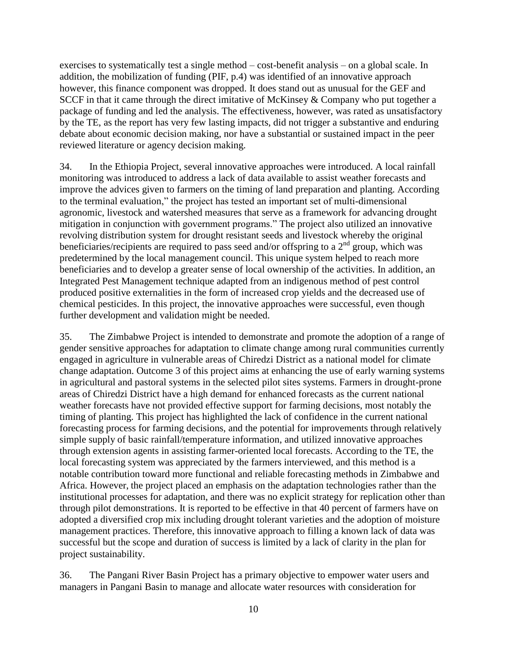exercises to systematically test a single method – cost-benefit analysis – on a global scale. In addition, the mobilization of funding (PIF, p.4) was identified of an innovative approach however, this finance component was dropped. It does stand out as unusual for the GEF and SCCF in that it came through the direct imitative of McKinsey & Company who put together a package of funding and led the analysis. The effectiveness, however, was rated as unsatisfactory by the TE, as the report has very few lasting impacts, did not trigger a substantive and enduring debate about economic decision making, nor have a substantial or sustained impact in the peer reviewed literature or agency decision making.

34. In the Ethiopia Project, several innovative approaches were introduced. A local rainfall monitoring was introduced to address a lack of data available to assist weather forecasts and improve the advices given to farmers on the timing of land preparation and planting. According to the terminal evaluation," the project has tested an important set of multi-dimensional agronomic, livestock and watershed measures that serve as a framework for advancing drought mitigation in conjunction with government programs." The project also utilized an innovative revolving distribution system for drought resistant seeds and livestock whereby the original beneficiaries/recipients are required to pass seed and/or offspring to a  $2<sup>nd</sup>$  group, which was predetermined by the local management council. This unique system helped to reach more beneficiaries and to develop a greater sense of local ownership of the activities. In addition, an Integrated Pest Management technique adapted from an indigenous method of pest control produced positive externalities in the form of increased crop yields and the decreased use of chemical pesticides. In this project, the innovative approaches were successful, even though further development and validation might be needed.

35. The Zimbabwe Project is intended to demonstrate and promote the adoption of a range of gender sensitive approaches for adaptation to climate change among rural communities currently engaged in agriculture in vulnerable areas of Chiredzi District as a national model for climate change adaptation. Outcome 3 of this project aims at enhancing the use of early warning systems in agricultural and pastoral systems in the selected pilot sites systems. Farmers in drought-prone areas of Chiredzi District have a high demand for enhanced forecasts as the current national weather forecasts have not provided effective support for farming decisions, most notably the timing of planting. This project has highlighted the lack of confidence in the current national forecasting process for farming decisions, and the potential for improvements through relatively simple supply of basic rainfall/temperature information, and utilized innovative approaches through extension agents in assisting farmer-oriented local forecasts. According to the TE, the local forecasting system was appreciated by the farmers interviewed, and this method is a notable contribution toward more functional and reliable forecasting methods in Zimbabwe and Africa. However, the project placed an emphasis on the adaptation technologies rather than the institutional processes for adaptation, and there was no explicit strategy for replication other than through pilot demonstrations. It is reported to be effective in that 40 percent of farmers have on adopted a diversified crop mix including drought tolerant varieties and the adoption of moisture management practices. Therefore, this innovative approach to filling a known lack of data was successful but the scope and duration of success is limited by a lack of clarity in the plan for project sustainability.

36. The Pangani River Basin Project has a primary objective to empower water users and managers in Pangani Basin to manage and allocate water resources with consideration for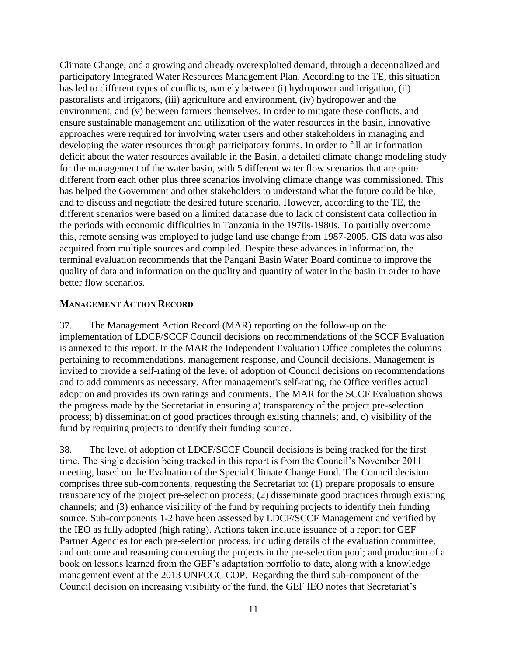Climate Change, and a growing and already overexploited demand, through a decentralized and participatory Integrated Water Resources Management Plan. According to the TE, this situation has led to different types of conflicts, namely between (i) hydropower and irrigation, (ii) pastoralists and irrigators, (iii) agriculture and environment, (iv) hydropower and the environment, and (v) between farmers themselves. In order to mitigate these conflicts, and ensure sustainable management and utilization of the water resources in the basin, innovative approaches were required for involving water users and other stakeholders in managing and developing the water resources through participatory forums. In order to fill an information deficit about the water resources available in the Basin, a detailed climate change modeling study for the management of the water basin, with 5 different water flow scenarios that are quite different from each other plus three scenarios involving climate change was commissioned. This has helped the Government and other stakeholders to understand what the future could be like, and to discuss and negotiate the desired future scenario. However, according to the TE, the different scenarios were based on a limited database due to lack of consistent data collection in the periods with economic difficulties in Tanzania in the 1970s-1980s. To partially overcome this, remote sensing was employed to judge land use change from 1987-2005. GIS data was also acquired from multiple sources and compiled. Despite these advances in information, the terminal evaluation recommends that the Pangani Basin Water Board continue to improve the quality of data and information on the quality and quantity of water in the basin in order to have better flow scenarios.

#### <span id="page-13-0"></span>**MANAGEMENT ACTION RECORD**

37. The Management Action Record (MAR) reporting on the follow-up on the implementation of LDCF/SCCF Council decisions on recommendations of the SCCF Evaluation is annexed to this report. In the MAR the Independent Evaluation Office completes the columns pertaining to recommendations, management response, and Council decisions. Management is invited to provide a self-rating of the level of adoption of Council decisions on recommendations and to add comments as necessary. After management's self-rating, the Office verifies actual adoption and provides its own ratings and comments. The MAR for the SCCF Evaluation shows the progress made by the Secretariat in ensuring a) transparency of the project pre-selection process; b) dissemination of good practices through existing channels; and, c) visibility of the fund by requiring projects to identify their funding source.

38. The level of adoption of LDCF/SCCF Council decisions is being tracked for the first time. The single decision being tracked in this report is from the Council's November 2011 meeting, based on the Evaluation of the Special Climate Change Fund. The Council decision comprises three sub-components, requesting the Secretariat to: (1) prepare proposals to ensure transparency of the project pre-selection process; (2) disseminate good practices through existing channels; and (3) enhance visibility of the fund by requiring projects to identify their funding source. Sub-components 1-2 have been assessed by LDCF/SCCF Management and verified by the IEO as fully adopted (high rating). Actions taken include issuance of a report for GEF Partner Agencies for each pre-selection process, including details of the evaluation committee, and outcome and reasoning concerning the projects in the pre-selection pool; and production of a book on lessons learned from the GEF's adaptation portfolio to date, along with a knowledge management event at the 2013 UNFCCC COP. Regarding the third sub-component of the Council decision on increasing visibility of the fund, the GEF IEO notes that Secretariat's